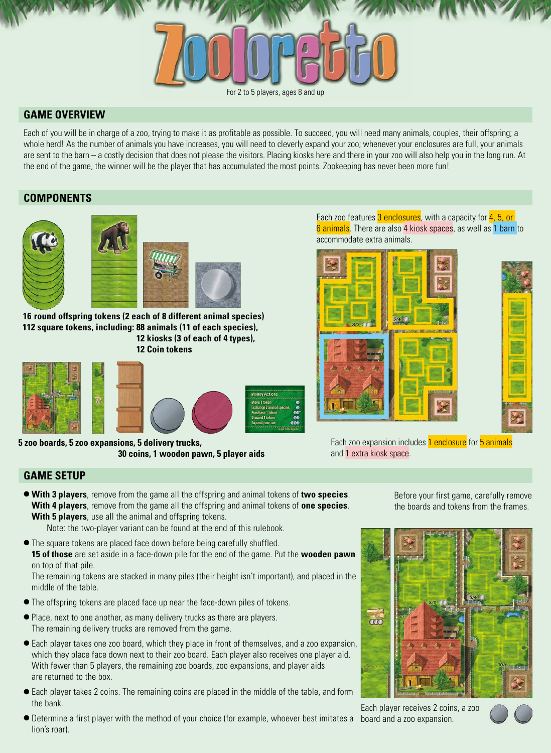#### For 2 to 5 players, ages 8 and up

# **GAME OVERVIEW**

Each of you will be in charge of a zoo, trying to make it as profitable as possible. To succeed, you will need many animals, couples, their offspring; a whole herd! As the number of animals you have increases, you will need to cleverly expand your zoo; whenever your enclosures are full, your animals are sent to the barn – a costly decision that does not please the visitors. Placing kiosks here and there in your zoo will also help you in the long run. At the end of the game, the winner will be the player that has accumulated the most points. Zookeeping has never been more fun!

# **COMPONENTS**



**16 round offspring tokens (2 each of 8 different animal species) 112 square tokens, including: 88 animals (11 of each species), 12 kiosks (3 of each of 4 types), 12 Coin tokens**



**5 zoo boards, 5 zoo expansions, 5 delivery trucks, 30 coins, 1 wooden pawn, 5 player aids** Each zoo features 3 enclosures, with a capacity for  $4, 5, 0$ 6 animals. There are also 4 kiosk spaces, as well as 1 barn to accommodate extra animals.





Each zoo expansion includes 1 enclosure for 5 animals and 1 extra kiosk space.

# **GAME SETUP**

- **With 3 players**, remove from the game all the offspring and animal tokens of **two species**. **With 4 players**, remove from the game all the offspring and animal tokens of **one species**. **With 5 players**, use all the animal and offspring tokens.
	- Note: the two-player variant can be found at the end of this rulebook.
- The square tokens are placed face down before being carefully shuffled. **15 of those** are set aside in a face-down pile for the end of the game. Put the **wooden pawn** on top of that pile.

The remaining tokens are stacked in many piles (their height isn't important), and placed in the middle of the table.

- The offspring tokens are placed face up near the face-down piles of tokens.
- Place, next to one another, as many delivery trucks as there are players. The remaining delivery trucks are removed from the game.
- Each player takes one zoo board, which they place in front of themselves, and a zoo expansion, which they place face down next to their zoo board. Each player also receives one player aid. With fewer than 5 players, the remaining zoo boards, zoo expansions, and player aids are returned to the box.
- Each player takes 2 coins. The remaining coins are placed in the middle of the table, and form the bank.
- Determine a first player with the method of your choice (for example, whoever best imitates a board and a zoo expansion. lion's roar).

Before your first game, carefully remove the boards and tokens from the frames.



Each player receives 2 coins, a zoo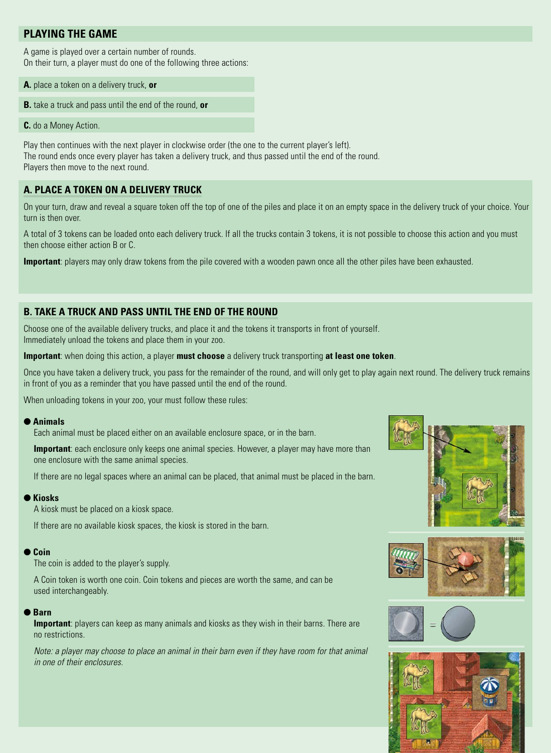# **PLAYING THE GAME**

A game is played over a certain number of rounds. On their turn, a player must do one of the following three actions:

- **A.** place a token on a delivery truck, **or**
- **B.** take a truck and pass until the end of the round, **or**

**C.** do a Money Action.

Play then continues with the next player in clockwise order (the one to the current player's left). The round ends once every player has taken a delivery truck, and thus passed until the end of the round. Players then move to the next round.

# **A. PLACE A TOKEN ON A DELIVERY TRUCK**

On your turn, draw and reveal a square token off the top of one of the piles and place it on an empty space in the delivery truck of your choice. Your turn is then over.

A total of 3 tokens can be loaded onto each delivery truck. If all the trucks contain 3 tokens, it is not possible to choose this action and you must then choose either action B or C.

**Important**: players may only draw tokens from the pile covered with a wooden pawn once all the other piles have been exhausted.

# **B. TAKE A TRUCK AND PASS UNTIL THE END OF THE ROUND**

Choose one of the available delivery trucks, and place it and the tokens it transports in front of yourself. Immediately unload the tokens and place them in your zoo.

**Important**: when doing this action, a player **must choose** a delivery truck transporting **at least one token**.

Once you have taken a delivery truck, you pass for the remainder of the round, and will only get to play again next round. The delivery truck remains in front of you as a reminder that you have passed until the end of the round.

When unloading tokens in your zoo, your must follow these rules:

### ● **Animals**

Each animal must be placed either on an available enclosure space, or in the barn.

**Important**: each enclosure only keeps one animal species. However, a player may have more than one enclosure with the same animal species.

If there are no legal spaces where an animal can be placed, that animal must be placed in the barn.

### ● **Kiosks**

A kiosk must be placed on a kiosk space.

If there are no available kiosk spaces, the kiosk is stored in the barn.

### ● **Coin**

The coin is added to the player's supply.

A Coin token is worth one coin. Coin tokens and pieces are worth the same, and can be used interchangeably.

## ● **Barn**

**Important**: players can keep as many animals and kiosks as they wish in their barns. There are no restrictions.

*Note: a player may choose to place an animal in their barn even if they have room for that animal in one of their enclosures.*







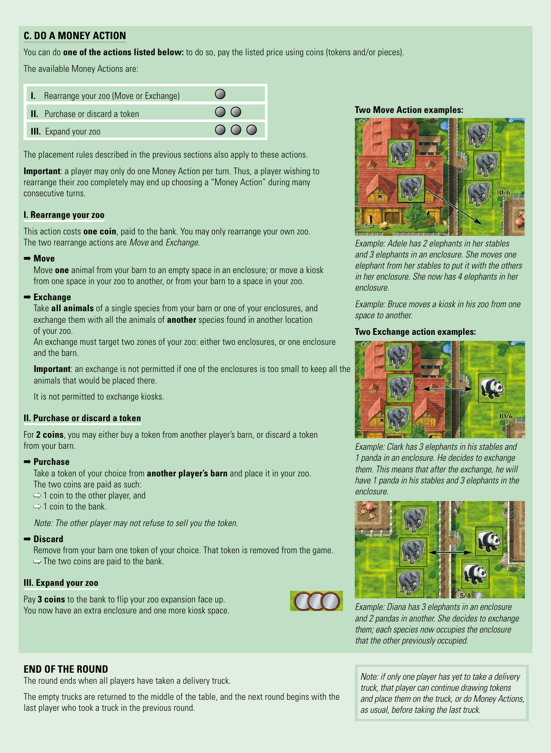# **C. DO A MONEY ACTION**

You can do **one of the actions listed below:** to do so, pay the listed price using coins (tokens and/or pieces).

The available Money Actions are:

| I. Rearrange your zoo (Move or Exchange) |                                  |
|------------------------------------------|----------------------------------|
| <b>II.</b> Purchase or discard a token   | $\bigcap$                        |
| <b>III.</b> Expand your zoo              | $\bigcirc$ $\bigcirc$ $\bigcirc$ |

The placement rules described in the previous sections also apply to these actions.

**Important**: a player may only do one Money Action per turn. Thus, a player wishing to rearrange their zoo completely may end up choosing a "Money Action" during many consecutive turns.

## **I. Rearrange your zoo**

This action costs **one coin**, paid to the bank. You may only rearrange your own zoo. The two rearrange actions are *Move* and *Exchange*.

### ➡ **Move**

Move **one** animal from your barn to an empty space in an enclosure; or move a kiosk from one space in your zoo to another, or from your barn to a space in your zoo.

## ➡ **Exchange**

Take **all animals** of a single species from your barn or one of your enclosures, and exchange them with all the animals of **another** species found in another location of your zoo.

An exchange must target two zones of your zoo: either two enclosures, or one enclosure and the barn.

**Important**: an exchange is not permitted if one of the enclosures is too small to keep all the animals that would be placed there.

It is not permitted to exchange kiosks.

## **II. Purchase or discard a token**

For **2 coins**, you may either buy a token from another player's barn, or discard a token from your barn.

### ➡ **Purchase**

Take a token of your choice from **another player's barn** and place it in your zoo.

- The two coins are paid as such:
- $\Rightarrow$  1 coin to the other player, and
- $\Rightarrow$  1 coin to the bank.

*Note: The other player may not refuse to sell you the token.*

## ➡ **Discard**

Remove from your barn one token of your choice. That token is removed from the game.  $\Rightarrow$  The two coins are paid to the bank.

## **III. Expand your zoo**

Pay **3 coins** to the bank to flip your zoo expansion face up. You now have an extra enclosure and one more kiosk space.



## **Two Move Action examples:**



*Example: Adele has 2 elephants in her stables and 3 elephants in an enclosure. She moves one elephant from her stables to put it with the others in her enclosure. She now has 4 elephants in her enclosure.*

*Example: Bruce moves a kiosk in his zoo from one space to another.*

## **Two Exchange action examples:**



*Example: Clark has 3 elephants in his stables and 1 panda in an enclosure. He decides to exchange them. This means that after the exchange, he will have 1 panda in his stables and 3 elephants in the enclosure.*



*Example: Diana has 3 elephants in an enclosure and 2 pandas in another. She decides to exchange them; each species now occupies the enclosure that the other previously occupied.*

# **END OF THE ROUND**

The round ends when all players have taken a delivery truck.

The empty trucks are returned to the middle of the table, and the next round begins with the last player who took a truck in the previous round.

*Note: if only one player has yet to take a delivery truck, that player can continue drawing tokens and place them on the truck, or do Money Actions, as usual, before taking the last truck.*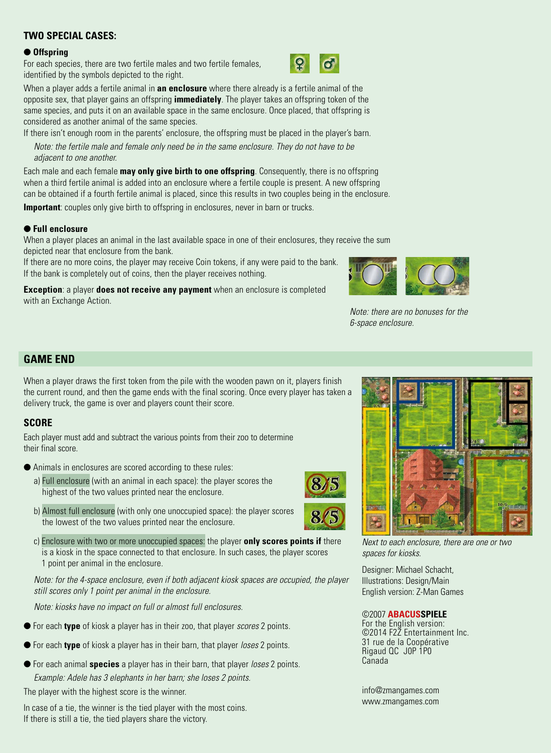# **TWO SPECIAL CASES:**

### ● **Offspring**

For each species, there are two fertile males and two fertile females, identified by the symbols depicted to the right.



When a player adds a fertile animal in **an enclosure** where there already is a fertile animal of the opposite sex, that player gains an offspring **immediately**. The player takes an offspring token of the same species, and puts it on an available space in the same enclosure. Once placed, that offspring is considered as another animal of the same species.

If there isn't enough room in the parents' enclosure, the offspring must be placed in the player's barn.

*Note: the fertile male and female only need be in the same enclosure. They do not have to be adjacent to one another.*

Each male and each female **may only give birth to one offspring**. Consequently, there is no offspring when a third fertile animal is added into an enclosure where a fertile couple is present. A new offspring can be obtained if a fourth fertile animal is placed, since this results in two couples being in the enclosure. **Important**: couples only give birth to offspring in enclosures, never in barn or trucks.

# ● **Full enclosure**

When a player places an animal in the last available space in one of their enclosures, they receive the sum depicted near that enclosure from the bank.

If there are no more coins, the player may receive Coin tokens, if any were paid to the bank. If the bank is completely out of coins, then the player receives nothing.

**Exception**: a player **does not receive any payment** when an enclosure is completed with an Exchange Action.



*Note: there are no bonuses for the 6-space enclosure.*

# **GAME END**

When a player draws the first token from the pile with the wooden pawn on it, players finish the current round, and then the game ends with the final scoring. Once every player has taken a delivery truck, the game is over and players count their score.

# **SCORE**

Each player must add and subtract the various points from their zoo to determine their final score.

- Animals in enclosures are scored according to these rules:
	- a) Full enclosure (with an animal in each space): the player scores the highest of the two values printed near the enclosure.
	- b) Almost full enclosure (with only one unoccupied space): the player scores the lowest of the two values printed near the enclosure.
	- c) Enclosure with two or more unoccupied spaces: the player **only scores points if** there is a kiosk in the space connected to that enclosure. In such cases, the player scores 1 point per animal in the enclosure.

*Note: for the 4-space enclosure, even if both adjacent kiosk spaces are occupied, the player still scores only 1 point per animal in the enclosure.*

*Note: kiosks have no impact on full or almost full enclosures.*

- For each **type** of kiosk a player has in their zoo, that player *scores* 2 points.
- For each **type** of kiosk a player has in their barn, that player *loses* 2 points.
- For each animal **species** a player has in their barn, that player *loses* 2 points. *Example: Adele has 3 elephants in her barn; she loses 2 points.*

The player with the highest score is the winner.

In case of a tie, the winner is the tied player with the most coins. If there is still a tie, the tied players share the victory.



*Next to each enclosure, there are one or two spaces for kiosks.*

Designer: Michael Schacht, Illustrations: Design/Main English version: Z-Man Games

## ©2007 **ABACUSSPIELE**

For the English version: ©2014 F2Z Entertainment Inc. 31 rue de la Coopérative Rigaud QC J0P 1P0 Canada

info@zmangames.com www.zmangames.com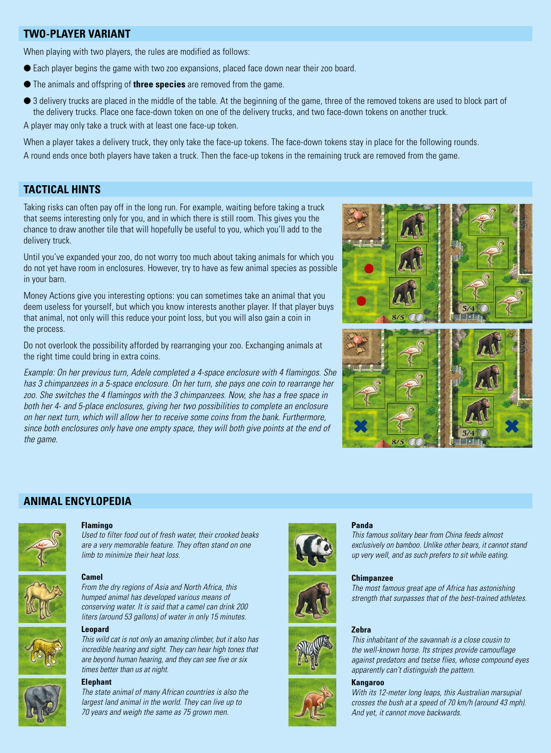# **TWO-PLAYER VARIANT**

When playing with two players, the rules are modified as follows:

- Each player begins the game with two zoo expansions, placed face down near their zoo board.
- The animals and offspring of **three species** are removed from the game.
- 3 delivery trucks are placed in the middle of the table. At the beginning of the game, three of the removed tokens are used to block part of the delivery trucks. Place one face-down token on one of the delivery trucks, and two face-down tokens on another truck.

A player may only take a truck with at least one face-up token.

When a player takes a delivery truck, they only take the face-up tokens. The face-down tokens stay in place for the following rounds. A round ends once both players have taken a truck. Then the face-up tokens in the remaining truck are removed from the game.

# **TACTICAL HINTS**

Taking risks can often pay off in the long run. For example, waiting before taking a truck that seems interesting only for you, and in which there is still room. This gives you the chance to draw another tile that will hopefully be useful to you, which you'll add to the delivery truck.

Until you've expanded your zoo, do not worry too much about taking animals for which you do not yet have room in enclosures. However, try to have as few animal species as possible in your barn.

Money Actions give you interesting options: you can sometimes take an animal that you deem useless for yourself, but which you know interests another player. If that player buys that animal, not only will this reduce your point loss, but you will also gain a coin in the process.

Do not overlook the possibility afforded by rearranging your zoo. Exchanging animals at the right time could bring in extra coins.

*Example: On her previous turn, Adele completed a 4-space enclosure with 4 flamingos. She has 3 chimpanzees in a 5-space enclosure. On her turn, she pays one coin to rearrange her zoo. She switches the 4 flamingos with the 3 chimpanzees. Now, she has a free space in both her 4- and 5-place enclosures, giving her two possibilities to complete an enclosure on her next turn, which will allow her to receive some coins from the bank. Furthermore, since both enclosures only have one empty space, they will both give points at the end of the game.*



# **ANIMAL ENCYLOPEDIA**



#### **Flamingo**

*Used to filter food out of fresh water, their crooked beaks are a very memorable feature. They often stand on one limb to minimize their heat loss.*



# **Camel**

*From the dry regions of Asia and North Africa, this humped animal has developed various means of conserving water. It is said that a camel can drink 200 liters (around 53 gallons) of water in only 15 minutes.*

#### **Leopard**

*This wild cat is not only an amazing climber, but it also has incredible hearing and sight. They can hear high tones that are beyond human hearing, and they can see five or six times better than us at night.*

## **Elephant**

*The state animal of many African countries is also the largest land animal in the world. They can live up to 70 years and weigh the same as 75 grown men.*









#### **Panda**

*This famous solitary bear from China feeds almost exclusively on bamboo. Unlike other bears, it cannot stand up very well, and as such prefers to sit while eating.*

#### **Chimpanzee**

*The most famous great ape of Africa has astonishing strength that surpasses that of the best-trained athletes.*

#### **Zebra**

*This inhabitant of the savannah is a close cousin to the well-known horse. Its stripes provide camouflage against predators and tsetse flies, whose compound eyes apparently can't distinguish the pattern.*

#### **Kangaroo**

*With its 12-meter long leaps, this Australian marsupial crosses the bush at a speed of 70 km/h (around 43 mph). And yet, it cannot move backwards.*